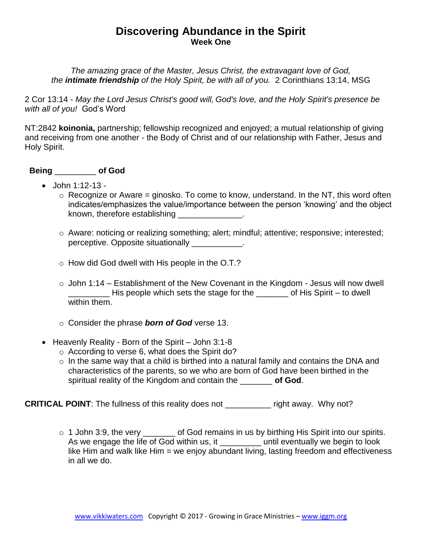## **Discovering Abundance in the Spirit Week One**

*The amazing grace of the Master, Jesus Christ, the extravagant love of God, the intimate friendship of the Holy Spirit, be with all of you.* 2 Corinthians 13:14, MSG

2 Cor 13:14 - *May the Lord Jesus Christ's good will, God's love, and the Holy Spirit's presence be with all of you!* God's Word

NT:2842 **koinonia,** partnership; fellowship recognized and enjoyed; a mutual relationship of giving and receiving from one another - the Body of Christ and of our relationship with Father, Jesus and Holy Spirit.

## **Being** \_\_\_\_\_\_\_\_\_ **of God**

- $\bullet$  John 1:12-13 -
	- $\circ$  Recognize or Aware = ginosko. To come to know, understand. In the NT, this word often indicates/emphasizes the value/importance between the person 'knowing' and the object known, therefore establishing \_\_\_\_\_\_\_\_\_\_\_\_\_\_\_.
	- o Aware: noticing or realizing something; alert; mindful; attentive; responsive; interested; perceptive. Opposite situationally \_\_\_\_\_\_\_\_\_\_\_.
	- o How did God dwell with His people in the O.T.?
	- $\circ$  John 1:14 Establishment of the New Covenant in the Kingdom Jesus will now dwell His people which sets the stage for the \_\_\_\_\_\_\_ of His Spirit – to dwell within them.
	- o Consider the phrase *born of God* verse 13.
- $\bullet$  Heavenly Reality Born of the Spirit John 3:1-8
	- o According to verse 6, what does the Spirit do?
	- $\circ$  In the same way that a child is birthed into a natural family and contains the DNA and characteristics of the parents, so we who are born of God have been birthed in the spiritual reality of the Kingdom and contain the \_\_\_\_\_\_\_ **of God**.

**CRITICAL POINT:** The fullness of this reality does not \_\_\_\_\_\_\_\_\_\_ right away. Why not?

o 1 John 3:9, the very \_\_\_\_\_\_\_ of God remains in us by birthing His Spirit into our spirits. As we engage the life of God within us, it example until eventually we begin to look like Him and walk like Him = we enjoy abundant living, lasting freedom and effectiveness in all we do.